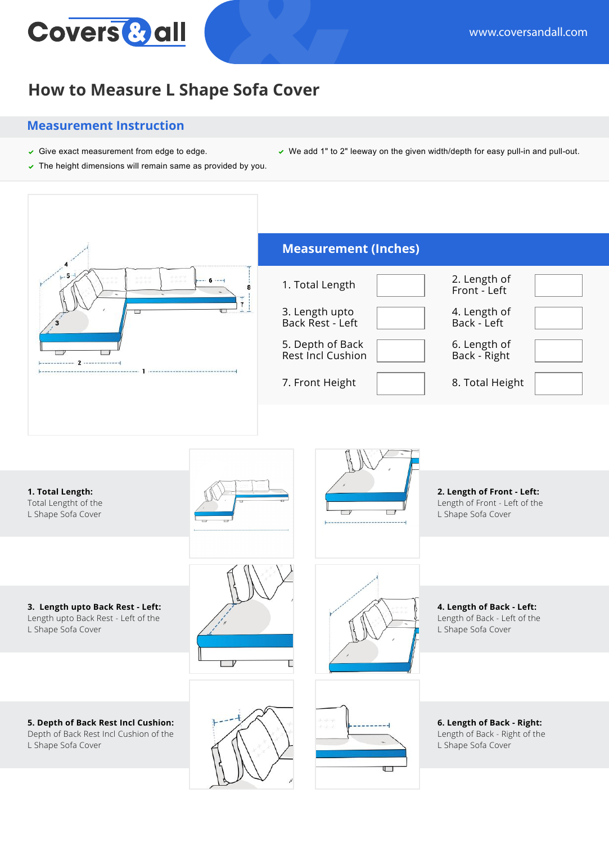## **Covers & all**

## **How to Measure L Shape Sofa Cover**

## **Measurement Instruction**

- Give exact measurement from edge to edge. We add 1" to 2" leeway on the given width/depth for easy pull-in and pull-out.
- $\triangledown$  The height dimensions will remain same as provided by you.
	- **Measurement (Inches)** 1. Total Length **2.** Length of 6 Front - Left 3. Length upto 4. Length of Back Rest - Left Back - Left 5. Depth of Back 6. Length of Rest Incl Cushion Back - Right 7. Front Height 8. Total Height

**1. Total Length:** Total Lengtht of the L Shape Sofa Cover

 $-2-$ 



**5. Depth of Back Rest Incl Cushion:** Depth of Back Rest Incl Cushion of the L Shape Sofa Cover





**4. Length of Back - Left:**

Length of Back - Left of the L Shape Sofa Cover

**2. Length of Front - Left:** Length of Front - Left of the L Shape Sofa Cover





**6. Length of Back - Right:** Length of Back - Right of the L Shape Sofa Cover